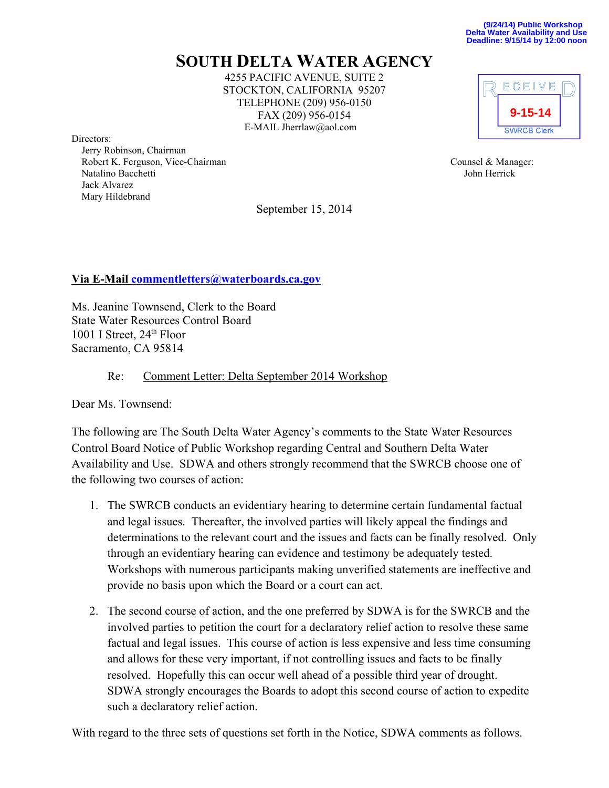## **SOUTH DELTA WATER AGENCY**

4255 PACIFIC AVENUE, SUITE 2 STOCKTON, CALIFORNIA 95207 TELEPHONE (209) 956-0150 FAX (209) 956-0154 E-MAIL Jherrlaw@aol.com

Directors:

 Jerry Robinson, Chairman Robert K. Ferguson, Vice-Chairman Counsel & Manager: Natalino Bacchetti **Voltage School School School School School School School School School School School School School School School School School School School School School School School School School School School Schoo**  Jack Alvarez Mary Hildebrand

September 15, 2014



## **Via E-Mail commentletters@waterboards.ca.gov**

Ms. Jeanine Townsend, Clerk to the Board State Water Resources Control Board 1001 I Street, 24<sup>th</sup> Floor Sacramento, CA 95814

## Re: Comment Letter: Delta September 2014 Workshop

Dear Ms. Townsend:

The following are The South Delta Water Agency's comments to the State Water Resources Control Board Notice of Public Workshop regarding Central and Southern Delta Water Availability and Use. SDWA and others strongly recommend that the SWRCB choose one of the following two courses of action:

- 1. The SWRCB conducts an evidentiary hearing to determine certain fundamental factual and legal issues. Thereafter, the involved parties will likely appeal the findings and determinations to the relevant court and the issues and facts can be finally resolved. Only through an evidentiary hearing can evidence and testimony be adequately tested. Workshops with numerous participants making unverified statements are ineffective and provide no basis upon which the Board or a court can act.
- 2. The second course of action, and the one preferred by SDWA is for the SWRCB and the involved parties to petition the court for a declaratory relief action to resolve these same factual and legal issues. This course of action is less expensive and less time consuming and allows for these very important, if not controlling issues and facts to be finally resolved. Hopefully this can occur well ahead of a possible third year of drought. SDWA strongly encourages the Boards to adopt this second course of action to expedite such a declaratory relief action.

With regard to the three sets of questions set forth in the Notice, SDWA comments as follows.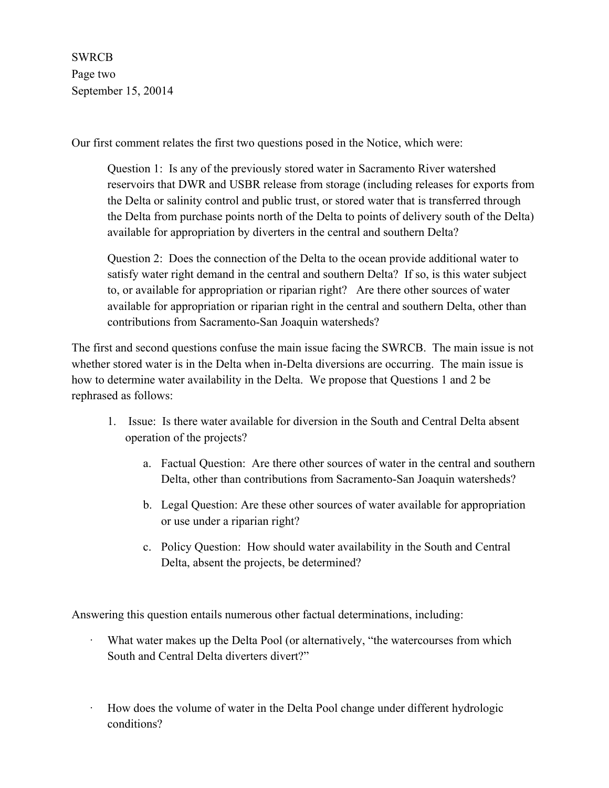SWRCB Page two September 15, 20014

Our first comment relates the first two questions posed in the Notice, which were:

Question 1: Is any of the previously stored water in Sacramento River watershed reservoirs that DWR and USBR release from storage (including releases for exports from the Delta or salinity control and public trust, or stored water that is transferred through the Delta from purchase points north of the Delta to points of delivery south of the Delta) available for appropriation by diverters in the central and southern Delta?

Question 2: Does the connection of the Delta to the ocean provide additional water to satisfy water right demand in the central and southern Delta? If so, is this water subject to, or available for appropriation or riparian right? Are there other sources of water available for appropriation or riparian right in the central and southern Delta, other than contributions from Sacramento-San Joaquin watersheds?

The first and second questions confuse the main issue facing the SWRCB. The main issue is not whether stored water is in the Delta when in-Delta diversions are occurring. The main issue is how to determine water availability in the Delta. We propose that Questions 1 and 2 be rephrased as follows:

- 1. Issue: Is there water available for diversion in the South and Central Delta absent operation of the projects?
	- a. Factual Question: Are there other sources of water in the central and southern Delta, other than contributions from Sacramento-San Joaquin watersheds?
	- b. Legal Question: Are these other sources of water available for appropriation or use under a riparian right?
	- c. Policy Question: How should water availability in the South and Central Delta, absent the projects, be determined?

Answering this question entails numerous other factual determinations, including:

- What water makes up the Delta Pool (or alternatively, "the watercourses from which South and Central Delta diverters divert?"
- · How does the volume of water in the Delta Pool change under different hydrologic conditions?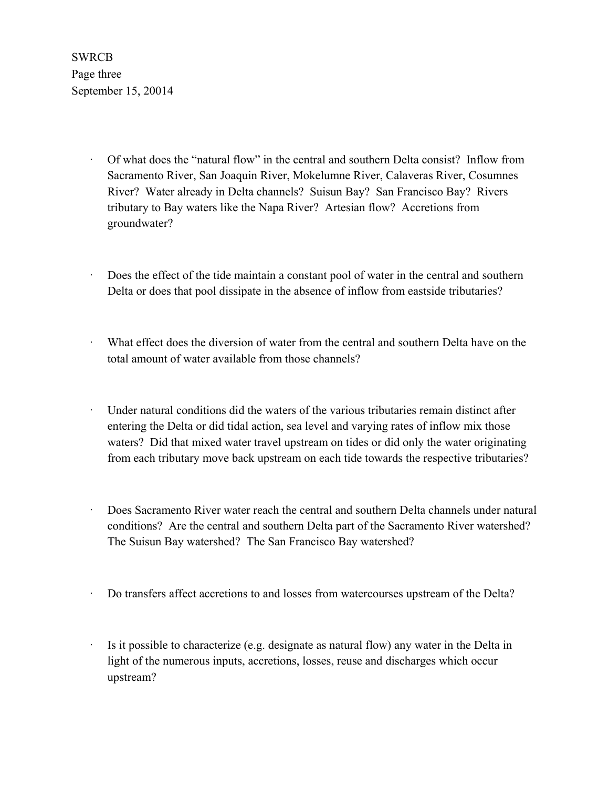**SWRCB** Page three September 15, 20014

- · Of what does the "natural flow" in the central and southern Delta consist? Inflow from Sacramento River, San Joaquin River, Mokelumne River, Calaveras River, Cosumnes River? Water already in Delta channels? Suisun Bay? San Francisco Bay? Rivers tributary to Bay waters like the Napa River? Artesian flow? Accretions from groundwater?
- Does the effect of the tide maintain a constant pool of water in the central and southern Delta or does that pool dissipate in the absence of inflow from eastside tributaries?
- · What effect does the diversion of water from the central and southern Delta have on the total amount of water available from those channels?
- Under natural conditions did the waters of the various tributaries remain distinct after entering the Delta or did tidal action, sea level and varying rates of inflow mix those waters? Did that mixed water travel upstream on tides or did only the water originating from each tributary move back upstream on each tide towards the respective tributaries?
- · Does Sacramento River water reach the central and southern Delta channels under natural conditions? Are the central and southern Delta part of the Sacramento River watershed? The Suisun Bay watershed? The San Francisco Bay watershed?
- · Do transfers affect accretions to and losses from watercourses upstream of the Delta?
- Is it possible to characterize (e.g. designate as natural flow) any water in the Delta in light of the numerous inputs, accretions, losses, reuse and discharges which occur upstream?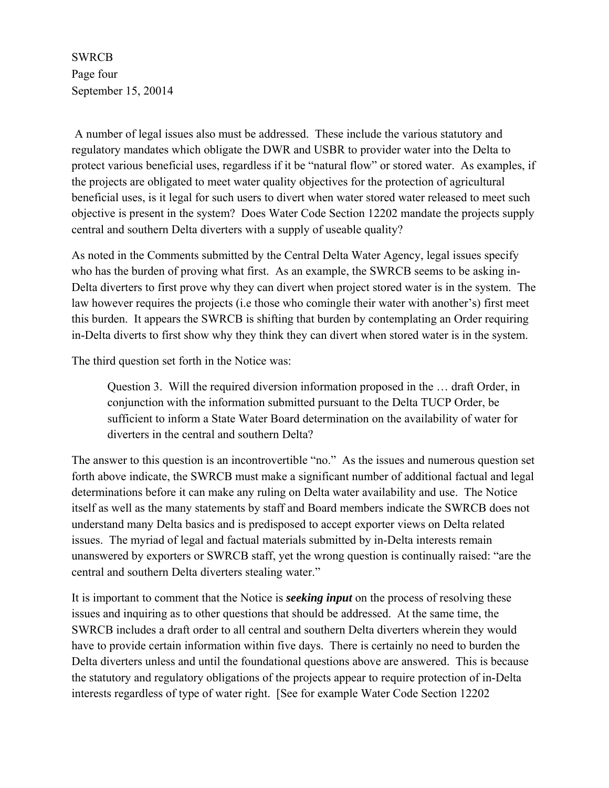**SWRCB** Page four September 15, 20014

 A number of legal issues also must be addressed. These include the various statutory and regulatory mandates which obligate the DWR and USBR to provider water into the Delta to protect various beneficial uses, regardless if it be "natural flow" or stored water. As examples, if the projects are obligated to meet water quality objectives for the protection of agricultural beneficial uses, is it legal for such users to divert when water stored water released to meet such objective is present in the system? Does Water Code Section 12202 mandate the projects supply central and southern Delta diverters with a supply of useable quality?

As noted in the Comments submitted by the Central Delta Water Agency, legal issues specify who has the burden of proving what first. As an example, the SWRCB seems to be asking in-Delta diverters to first prove why they can divert when project stored water is in the system. The law however requires the projects (i.e those who comingle their water with another's) first meet this burden. It appears the SWRCB is shifting that burden by contemplating an Order requiring in-Delta diverts to first show why they think they can divert when stored water is in the system.

The third question set forth in the Notice was:

Question 3. Will the required diversion information proposed in the … draft Order, in conjunction with the information submitted pursuant to the Delta TUCP Order, be sufficient to inform a State Water Board determination on the availability of water for diverters in the central and southern Delta?

The answer to this question is an incontrovertible "no." As the issues and numerous question set forth above indicate, the SWRCB must make a significant number of additional factual and legal determinations before it can make any ruling on Delta water availability and use. The Notice itself as well as the many statements by staff and Board members indicate the SWRCB does not understand many Delta basics and is predisposed to accept exporter views on Delta related issues. The myriad of legal and factual materials submitted by in-Delta interests remain unanswered by exporters or SWRCB staff, yet the wrong question is continually raised: "are the central and southern Delta diverters stealing water."

It is important to comment that the Notice is *seeking input* on the process of resolving these issues and inquiring as to other questions that should be addressed. At the same time, the SWRCB includes a draft order to all central and southern Delta diverters wherein they would have to provide certain information within five days. There is certainly no need to burden the Delta diverters unless and until the foundational questions above are answered. This is because the statutory and regulatory obligations of the projects appear to require protection of in-Delta interests regardless of type of water right. [See for example Water Code Section 12202